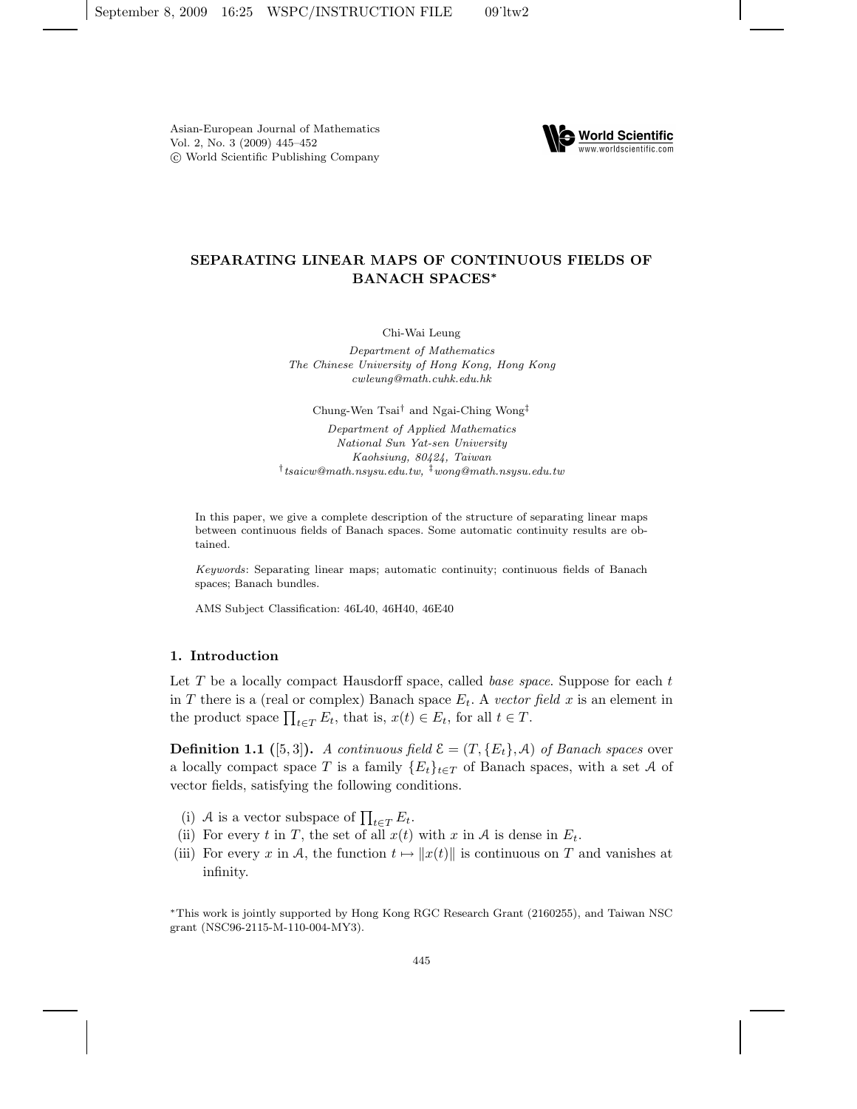

# SEPARATING LINEAR MAPS OF CONTINUOUS FIELDS OF BANACH SPACES<sup>∗</sup>

Chi-Wai Leung

Department of Mathematics The Chinese University of Hong Kong, Hong Kong cwleung@math.cuhk.edu.hk

Chung-Wen Tsai† and Ngai-Ching Wong‡

Department of Applied Mathematics National Sun Yat-sen University Kaohsiung, 80424, Taiwan  $^{\dagger}$ tsaicw@math.nsysu.edu.tw,  $^{\ddagger}$ wong@math.nsysu.edu.tw

In this paper, we give a complete description of the structure of separating linear maps between continuous fields of Banach spaces. Some automatic continuity results are obtained.

Keywords: Separating linear maps; automatic continuity; continuous fields of Banach spaces; Banach bundles.

AMS Subject Classification: 46L40, 46H40, 46E40

## 1. Introduction

Let  $T$  be a locally compact Hausdorff space, called *base space*. Suppose for each  $t$ in T there is a (real or complex) Banach space  $E_t$ . A vector field x is an element in the product space  $\prod_{t \in T} E_t$ , that is,  $x(t) \in E_t$ , for all  $t \in T$ .

**Definition 1.1** ([5,3]). A continuous field  $\mathcal{E} = (T, \{E_t\}, \mathcal{A})$  of Banach spaces over a locally compact space T is a family  ${E_t}_{t \in T}$  of Banach spaces, with a set A of vector fields, satisfying the following conditions.

- (i) A is a vector subspace of  $\prod_{t \in T} E_t$ .
- (ii) For every t in T, the set of all  $x(t)$  with x in A is dense in  $E_t$ .
- (iii) For every x in A, the function  $t \mapsto ||x(t)||$  is continuous on T and vanishes at infinity.

<sup>∗</sup>This work is jointly supported by Hong Kong RGC Research Grant (2160255), and Taiwan NSC grant (NSC96-2115-M-110-004-MY3).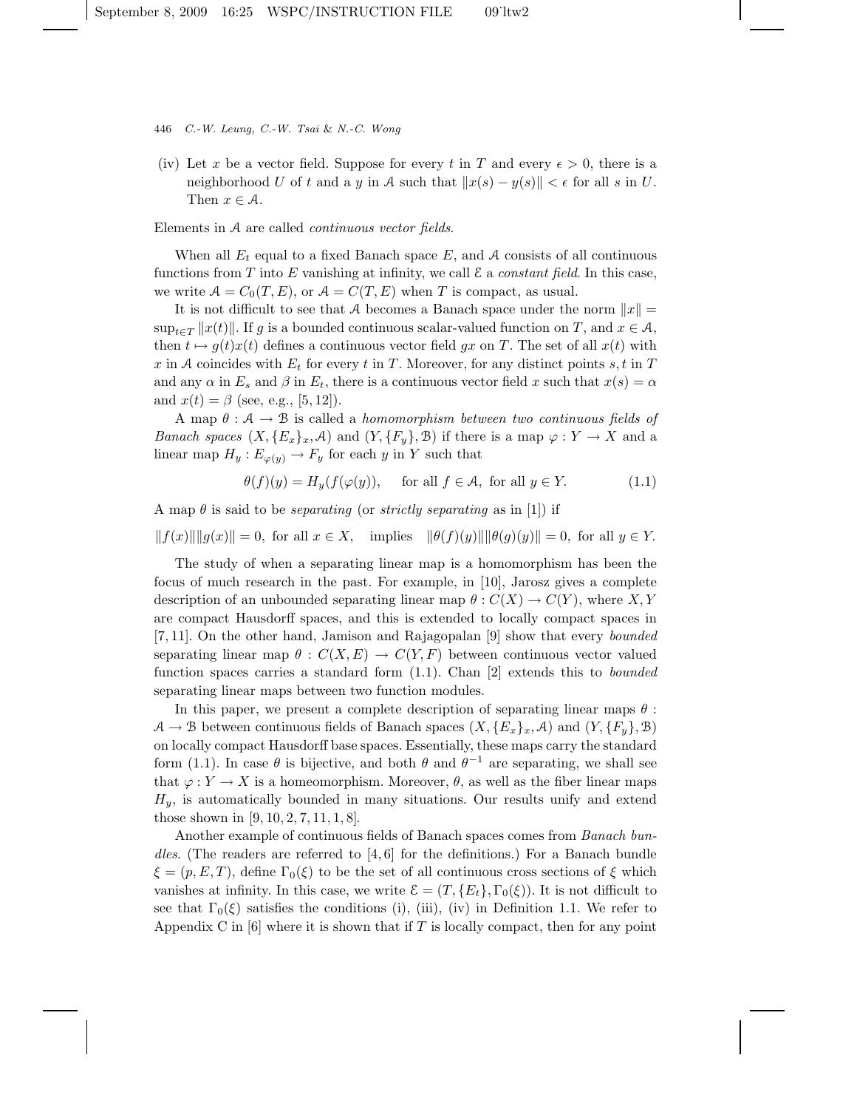- 446 C.-W. Leung, C.-W. Tsai & N.-C. Wong
- (iv) Let x be a vector field. Suppose for every t in T and every  $\epsilon > 0$ , there is a neighborhood U of t and a y in A such that  $||x(s) - y(s)|| < \epsilon$  for all s in U. Then  $x \in \mathcal{A}$ .

#### Elements in A are called continuous vector fields.

When all  $E_t$  equal to a fixed Banach space E, and A consists of all continuous functions from T into E vanishing at infinity, we call  $\mathcal E$  a *constant field*. In this case, we write  $A = C_0(T, E)$ , or  $A = C(T, E)$  when T is compact, as usual.

It is not difficult to see that A becomes a Banach space under the norm  $||x|| =$  $\sup_{t\in\mathcal{T}}||x(t)||.$  If g is a bounded continuous scalar-valued function on T, and  $x\in\mathcal{A}$ , then  $t \mapsto q(t)x(t)$  defines a continuous vector field qx on T. The set of all  $x(t)$  with x in A coincides with  $E_t$  for every t in T. Moreover, for any distinct points s, t in T and any  $\alpha$  in  $E_s$  and  $\beta$  in  $E_t$ , there is a continuous vector field x such that  $x(s) = \alpha$ and  $x(t) = \beta$  (see, e.g., [5, 12]).

A map  $\theta : A \to B$  is called a *homomorphism between two continuous fields of Banach spaces*  $(X, \{E_x\}_x, \mathcal{A})$  and  $(Y, \{F_y\}, \mathcal{B})$  if there is a map  $\varphi: Y \to X$  and a linear map  $H_y: E_{\varphi(y)} \to F_y$  for each y in Y such that

$$
\theta(f)(y) = H_y(f(\varphi(y))), \quad \text{ for all } f \in \mathcal{A}, \text{ for all } y \in Y. \tag{1.1}
$$

A map  $\theta$  is said to be *separating* (or *strictly separating* as in [1]) if

$$
||f(x)|| ||g(x)|| = 0
$$
, for all  $x \in X$ , implies  $||\theta(f)(y)|| ||\theta(g)(y)|| = 0$ , for all  $y \in Y$ .

The study of when a separating linear map is a homomorphism has been the focus of much research in the past. For example, in [10], Jarosz gives a complete description of an unbounded separating linear map  $\theta : C(X) \to C(Y)$ , where X, Y are compact Hausdorff spaces, and this is extended to locally compact spaces in [7, 11]. On the other hand, Jamison and Rajagopalan [9] show that every bounded separating linear map  $\theta : C(X, E) \to C(Y, F)$  between continuous vector valued function spaces carries a standard form  $(1.1)$ . Chan  $[2]$  extends this to *bounded* separating linear maps between two function modules.

In this paper, we present a complete description of separating linear maps  $\theta$ :  $A \to B$  between continuous fields of Banach spaces  $(X, {E_x}_x]_x, A)$  and  $(Y, {F_y}_x)$ on locally compact Hausdorff base spaces. Essentially, these maps carry the standard form (1.1). In case  $\theta$  is bijective, and both  $\theta$  and  $\theta^{-1}$  are separating, we shall see that  $\varphi: Y \to X$  is a homeomorphism. Moreover,  $\theta$ , as well as the fiber linear maps  $H_y$ , is automatically bounded in many situations. Our results unify and extend those shown in [9, 10, 2, 7, 11, 1, 8].

Another example of continuous fields of Banach spaces comes from Banach bundles. (The readers are referred to  $[4, 6]$  for the definitions.) For a Banach bundle  $\xi = (p, E, T)$ , define  $\Gamma_0(\xi)$  to be the set of all continuous cross sections of  $\xi$  which vanishes at infinity. In this case, we write  $\mathcal{E} = (T, \{E_t\}, \Gamma_0(\mathcal{E}))$ . It is not difficult to see that  $\Gamma_0(\xi)$  satisfies the conditions (i), (iii), (iv) in Definition 1.1. We refer to Appendix C in  $[6]$  where it is shown that if T is locally compact, then for any point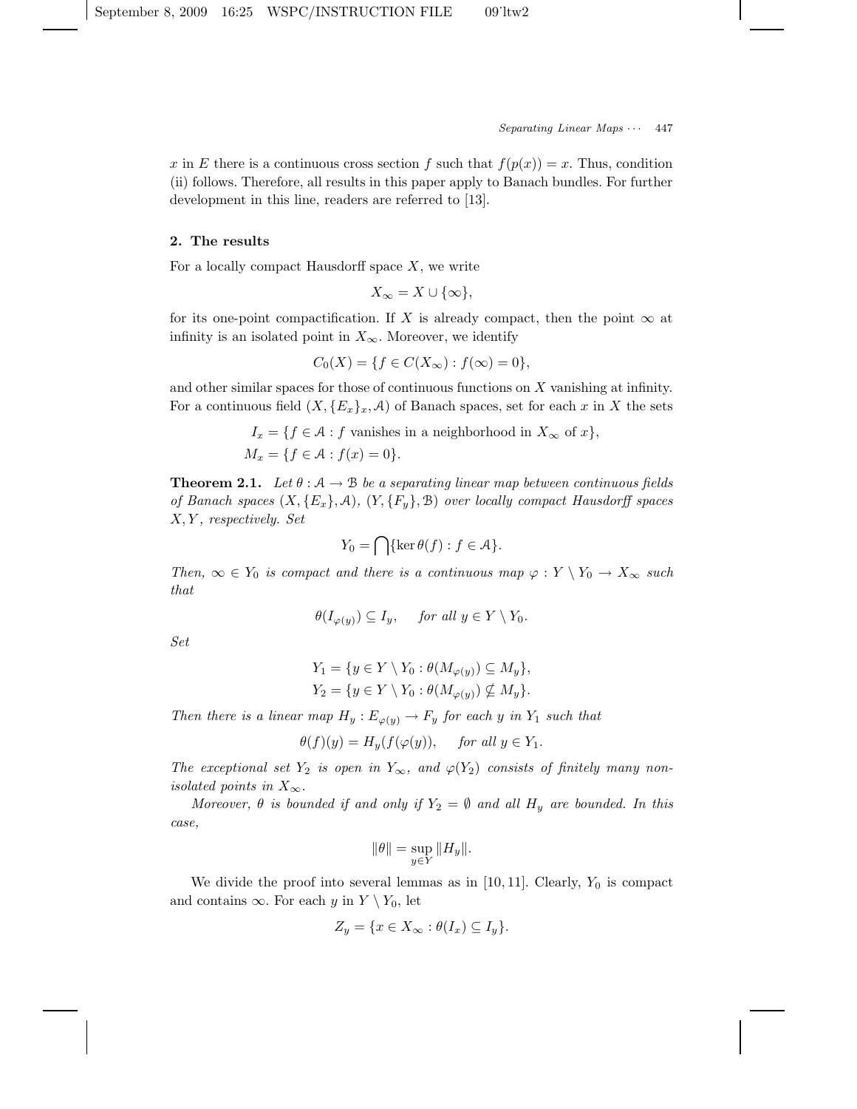x in E there is a continuous cross section f such that  $f(p(x)) = x$ . Thus, condition (ii) follows. Therefore, all results in this paper apply to Banach bundles. For further development in this line, readers are referred to [13].

#### 2. The results

For a locally compact Hausdorff space  $X$ , we write

$$
X_{\infty}=X\cup\{\infty\},
$$

for its one-point compactification. If X is already compact, then the point  $\infty$  at infinity is an isolated point in  $X_{\infty}$ . Moreover, we identify

$$
C_0(X) = \{ f \in C(X_{\infty}) : f(\infty) = 0 \},\
$$

and other similar spaces for those of continuous functions on X vanishing at infinity. For a continuous field  $(X, {E_x}_x, \mathcal{A})$  of Banach spaces, set for each x in X the sets

$$
I_x = \{ f \in \mathcal{A} : f \text{ vanishes in a neighborhood in } X_\infty \text{ of } x \},
$$
  

$$
M_x = \{ f \in \mathcal{A} : f(x) = 0 \}.
$$

**Theorem 2.1.** Let  $\theta : A \rightarrow B$  be a separating linear map between continuous fields of Banach spaces  $(X, \{E_x\}, \mathcal{A}), (Y, \{F_y\}, \mathcal{B})$  over locally compact Hausdorff spaces  $X, Y$ , respectively. Set

$$
Y_0 = \bigcap \{ \ker \theta(f) : f \in \mathcal{A} \}.
$$

Then,  $\infty \in Y_0$  is compact and there is a continuous map  $\varphi: Y \setminus Y_0 \to X_\infty$  such that

$$
\theta(I_{\varphi(y)}) \subseteq I_y, \quad \text{ for all } y \in Y \setminus Y_0.
$$

Set

$$
Y_1 = \{ y \in Y \setminus Y_0 : \theta(M_{\varphi(y)}) \subseteq M_y \},
$$
  

$$
Y_2 = \{ y \in Y \setminus Y_0 : \theta(M_{\varphi(y)}) \nsubseteq M_y \}.
$$

Then there is a linear map  $H_y: E_{\varphi(y)} \to F_y$  for each y in  $Y_1$  such that

$$
\theta(f)(y) = H_y(f(\varphi(y))), \quad \text{for all } y \in Y_1.
$$

The exceptional set  $Y_2$  is open in  $Y_{\infty}$ , and  $\varphi(Y_2)$  consists of finitely many nonisolated points in  $X_{\infty}$ .

Moreover,  $\theta$  is bounded if and only if  $Y_2 = \emptyset$  and all  $H_y$  are bounded. In this case,

$$
\|\theta\| = \sup_{y \in Y} \|H_y\|.
$$

We divide the proof into several lemmas as in [10, 11]. Clearly,  $Y_0$  is compact and contains  $\infty$ . For each y in  $Y \setminus Y_0$ , let

$$
Z_y = \{ x \in X_\infty : \theta(I_x) \subseteq I_y \}.
$$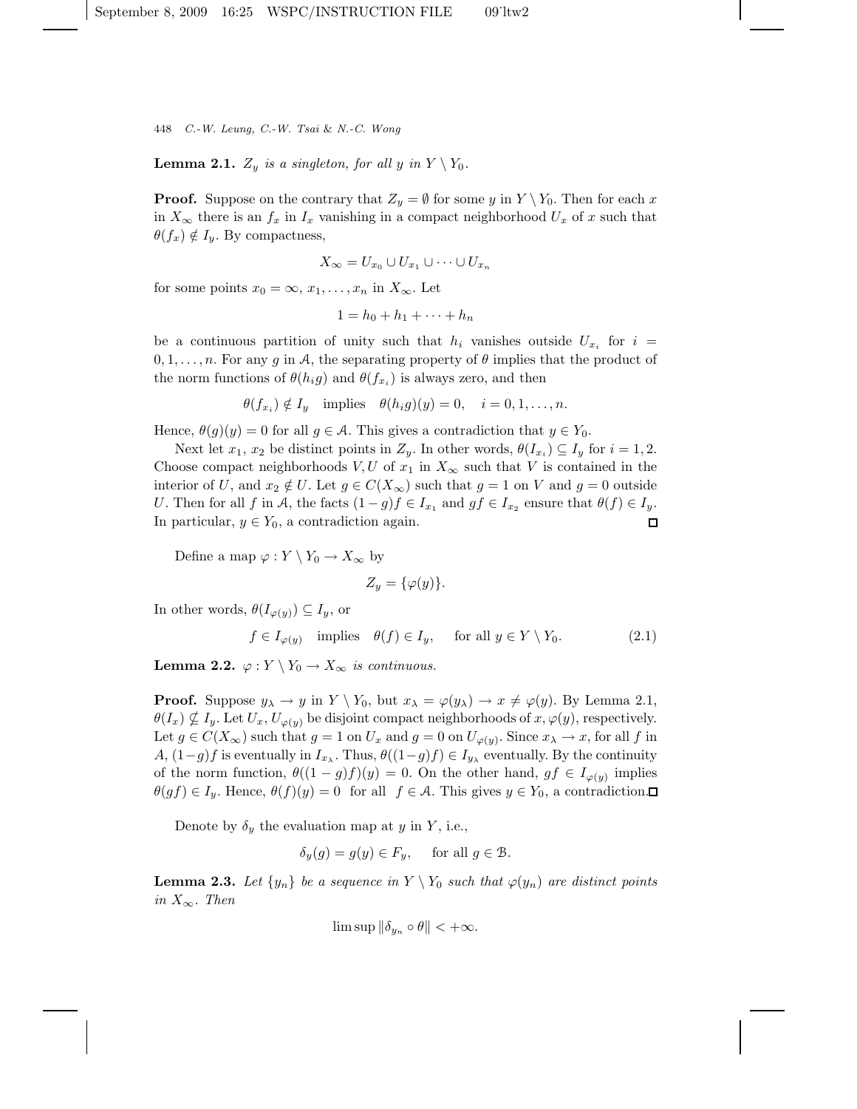448 C.-W. Leung, C.-W. Tsai & N.-C. Wong

**Lemma 2.1.**  $Z_y$  is a singleton, for all y in  $Y \setminus Y_0$ .

**Proof.** Suppose on the contrary that  $Z_y = \emptyset$  for some y in  $Y \setminus Y_0$ . Then for each x in  $X_{\infty}$  there is an  $f_x$  in  $I_x$  vanishing in a compact neighborhood  $U_x$  of x such that  $\theta(f_x) \notin I_y$ . By compactness,

$$
X_{\infty} = U_{x_0} \cup U_{x_1} \cup \cdots \cup U_{x_n}
$$

for some points  $x_0 = \infty, x_1, \ldots, x_n$  in  $X_\infty$ . Let

$$
1 = h_0 + h_1 + \dots + h_n
$$

be a continuous partition of unity such that  $h_i$  vanishes outside  $U_{x_i}$  for  $i =$  $0, 1, \ldots, n$ . For any g in A, the separating property of  $\theta$  implies that the product of the norm functions of  $\theta(h_i g)$  and  $\theta(f_{x_i})$  is always zero, and then

$$
\theta(f_{x_i}) \notin I_y \quad \text{implies} \quad \theta(h_i g)(y) = 0, \quad i = 0, 1, \dots, n.
$$

Hence,  $\theta(g)(y) = 0$  for all  $g \in \mathcal{A}$ . This gives a contradiction that  $y \in Y_0$ .

Next let  $x_1, x_2$  be distinct points in  $Z_y$ . In other words,  $\theta(I_{x_i}) \subseteq I_y$  for  $i = 1, 2$ . Choose compact neighborhoods  $V, U$  of  $x_1$  in  $X_\infty$  such that V is contained in the interior of U, and  $x_2 \notin U$ . Let  $g \in C(X_\infty)$  such that  $g = 1$  on V and  $g = 0$  outside U. Then for all f in A, the facts  $(1-g)f \in I_{x_1}$  and  $gf \in I_{x_2}$  ensure that  $\theta(f) \in I_y$ . In particular,  $y \in Y_0$ , a contradiction again.  $\Box$ 

Define a map  $\varphi:Y\setminus Y_0\to X_\infty$  by

$$
Z_y = \{\varphi(y)\}.
$$

In other words,  $\theta(I_{\varphi(y)}) \subseteq I_y$ , or

$$
f \in I_{\varphi(y)} \quad \text{implies} \quad \theta(f) \in I_y, \quad \text{ for all } y \in Y \setminus Y_0. \tag{2.1}
$$

**Lemma 2.2.**  $\varphi: Y \setminus Y_0 \to X_\infty$  is continuous.

**Proof.** Suppose  $y_{\lambda} \to y$  in  $Y \setminus Y_0$ , but  $x_{\lambda} = \varphi(y_{\lambda}) \to x \neq \varphi(y)$ . By Lemma 2.1,  $\theta(I_x) \nsubseteq I_y$ . Let  $U_x, U_{\varphi(y)}$  be disjoint compact neighborhoods of  $x, \varphi(y)$ , respectively. Let  $g \in C(X_{\infty})$  such that  $g = 1$  on  $U_x$  and  $g = 0$  on  $U_{\varphi(y)}$ . Since  $x_{\lambda} \to x$ , for all f in A,  $(1-g)f$  is eventually in  $I_{x_{\lambda}}$ . Thus,  $\theta((1-g)f) \in I_{y_{\lambda}}$  eventually. By the continuity of the norm function,  $\theta((1-g)f)(y) = 0$ . On the other hand,  $gf \in I_{\varphi(y)}$  implies  $\theta(gf) \in I_y$ . Hence,  $\theta(f)(y) = 0$  for all  $f \in A$ . This gives  $y \in Y_0$ , a contradiction.

Denote by  $\delta_y$  the evaluation map at y in Y, i.e.,

$$
\delta_y(g) = g(y) \in F_y, \quad \text{ for all } g \in \mathcal{B}.
$$

**Lemma 2.3.** Let  $\{y_n\}$  be a sequence in  $Y \setminus Y_0$  such that  $\varphi(y_n)$  are distinct points in  $X_{\infty}$ . Then

$$
\limsup \|\delta_{y_n} \circ \theta\| < +\infty.
$$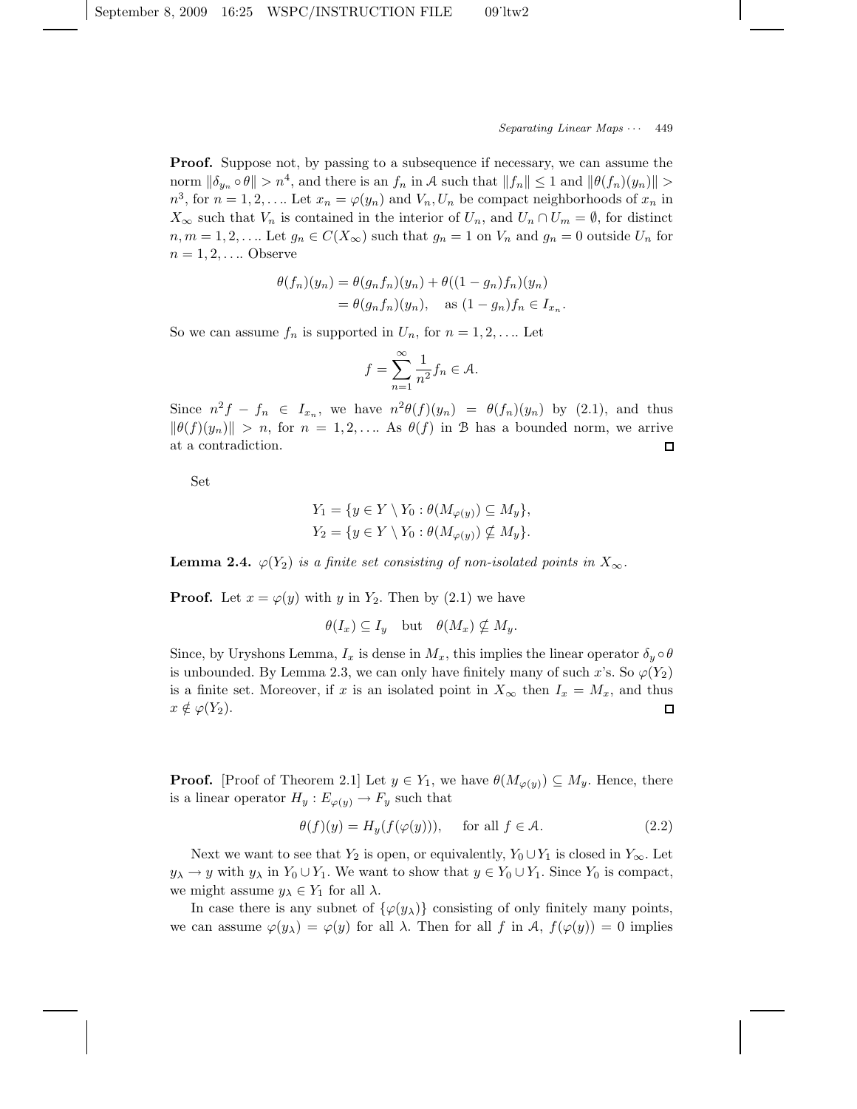Proof. Suppose not, by passing to a subsequence if necessary, we can assume the norm  $\|\delta_{y_n} \circ \theta\| > n^4$ , and there is an  $f_n$  in A such that  $||f_n|| \leq 1$  and  $||\theta(f_n)(y_n)|| >$  $n^3$ , for  $n = 1, 2, \ldots$  Let  $x_n = \varphi(y_n)$  and  $V_n, U_n$  be compact neighborhoods of  $x_n$  in  $X_{\infty}$  such that  $V_n$  is contained in the interior of  $U_n$ , and  $U_n \cap U_m = \emptyset$ , for distinct  $n, m = 1, 2, \ldots$  Let  $g_n \in C(X_\infty)$  such that  $g_n = 1$  on  $V_n$  and  $g_n = 0$  outside  $U_n$  for  $n = 1, 2, \ldots$  Observe

$$
\theta(f_n)(y_n) = \theta(g_nf_n)(y_n) + \theta((1-g_n)f_n)(y_n)
$$
  
=  $\theta(g_nf_n)(y_n)$ , as  $(1-g_n)f_n \in I_{x_n}$ .

So we can assume  $f_n$  is supported in  $U_n$ , for  $n = 1, 2, \ldots$  Let

$$
f = \sum_{n=1}^{\infty} \frac{1}{n^2} f_n \in \mathcal{A}.
$$

Since  $n^2f - f_n \in I_{x_n}$ , we have  $n^2\theta(f)(y_n) = \theta(f_n)(y_n)$  by (2.1), and thus  $\|\theta(f)(y_n)\| > n$ , for  $n = 1, 2, \ldots$  As  $\theta(f)$  in B has a bounded norm, we arrive at a contradiction.  $\square$ 

Set

$$
Y_1 = \{ y \in Y \setminus Y_0 : \theta(M_{\varphi(y)}) \subseteq M_y \},
$$
  

$$
Y_2 = \{ y \in Y \setminus Y_0 : \theta(M_{\varphi(y)}) \nsubseteq M_y \}.
$$

**Lemma 2.4.**  $\varphi(Y_2)$  is a finite set consisting of non-isolated points in  $X_{\infty}$ .

**Proof.** Let  $x = \varphi(y)$  with y in  $Y_2$ . Then by (2.1) we have

 $\theta(I_x) \subseteq I_y$  but  $\theta(M_x) \nsubseteq M_y$ .

Since, by Uryshons Lemma,  $I_x$  is dense in  $M_x$ , this implies the linear operator  $\delta_y \circ \theta$ is unbounded. By Lemma 2.3, we can only have finitely many of such x's. So  $\varphi(Y_2)$ is a finite set. Moreover, if x is an isolated point in  $X_{\infty}$  then  $I_x = M_x$ , and thus  $x \notin \varphi(Y_2)$ .  $\Box$ 

**Proof.** [Proof of Theorem 2.1] Let  $y \in Y_1$ , we have  $\theta(M_{\varphi(y)}) \subseteq M_y$ . Hence, there is a linear operator  $H_y: E_{\varphi(y)} \to F_y$  such that

$$
\theta(f)(y) = H_y(f(\varphi(y))), \quad \text{for all } f \in \mathcal{A}.
$$
 (2.2)

Next we want to see that  $Y_2$  is open, or equivalently,  $Y_0 \cup Y_1$  is closed in  $Y_\infty$ . Let  $y_{\lambda} \to y$  with  $y_{\lambda}$  in  $Y_0 \cup Y_1$ . We want to show that  $y \in Y_0 \cup Y_1$ . Since  $Y_0$  is compact, we might assume  $y_{\lambda} \in Y_1$  for all  $\lambda$ .

In case there is any subnet of  $\{\varphi(y_\lambda)\}\)$  consisting of only finitely many points, we can assume  $\varphi(y_\lambda) = \varphi(y)$  for all  $\lambda$ . Then for all f in A,  $f(\varphi(y)) = 0$  implies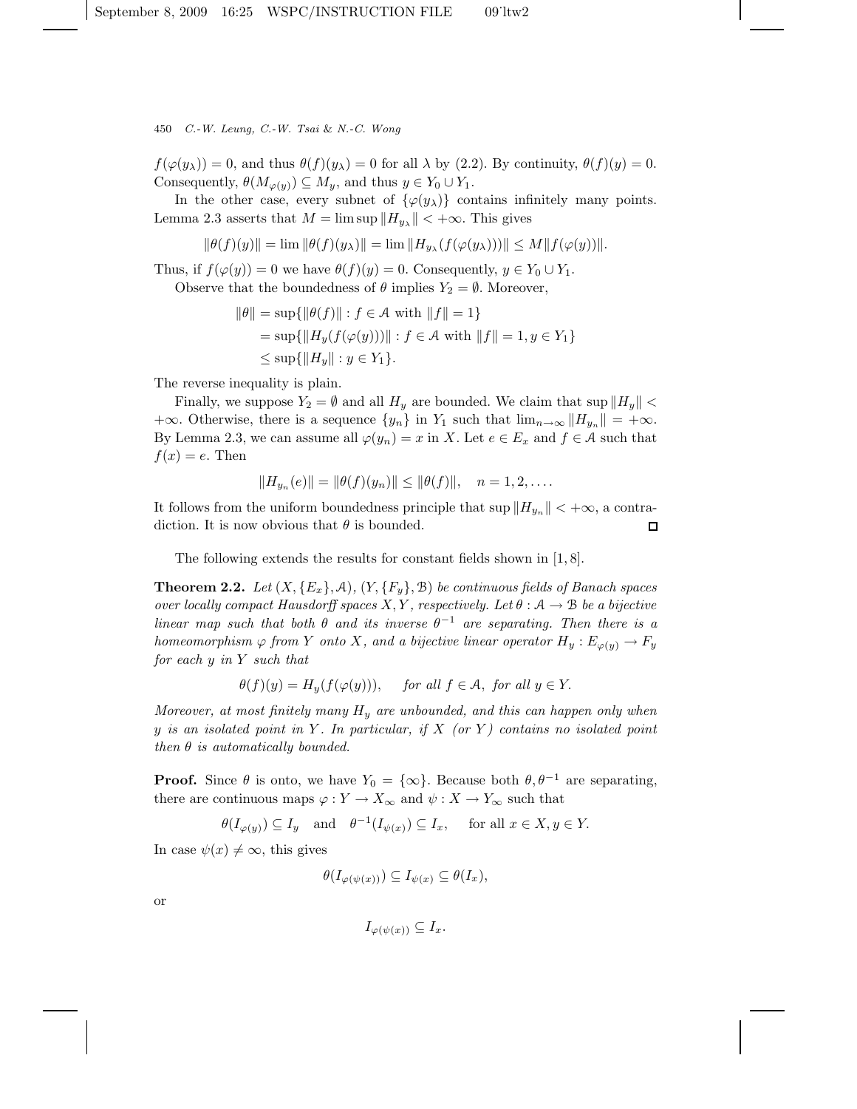450 C.-W. Leung, C.-W. Tsai & N.-C. Wong

 $f(\varphi(y_\lambda)) = 0$ , and thus  $\theta(f)(y_\lambda) = 0$  for all  $\lambda$  by (2.2). By continuity,  $\theta(f)(y) = 0$ . Consequently,  $\theta(M_{\varphi(y)}) \subseteq M_y$ , and thus  $y \in Y_0 \cup Y_1$ .

In the other case, every subnet of  $\{\varphi(y_\lambda)\}\$  contains infinitely many points. Lemma 2.3 asserts that  $M = \limsup ||H_{y_{\lambda}}|| < +\infty$ . This gives

$$
\|\theta(f)(y)\| = \lim \|\theta(f)(y_\lambda)\| = \lim \|H_{y_\lambda}(f(\varphi(y_\lambda)))\| \le M \|f(\varphi(y))\|.
$$

Thus, if  $f(\varphi(y)) = 0$  we have  $\theta(f)(y) = 0$ . Consequently,  $y \in Y_0 \cup Y_1$ .

Observe that the boundedness of  $\theta$  implies  $Y_2 = \emptyset$ . Moreover,

$$
\|\theta\| = \sup\{\|\theta(f)\| : f \in \mathcal{A} \text{ with } \|f\| = 1\}
$$
  
=  $\sup\{\|H_y(f(\varphi(y)))\| : f \in \mathcal{A} \text{ with } \|f\| = 1, y \in Y_1\}$   
 $\leq \sup\{\|H_y\| : y \in Y_1\}.$ 

The reverse inequality is plain.

Finally, we suppose  $Y_2 = \emptyset$  and all  $H_y$  are bounded. We claim that sup  $||H_y||$  <  $+\infty$ . Otherwise, there is a sequence  $\{y_n\}$  in  $Y_1$  such that  $\lim_{n\to\infty}||H_{y_n}|| = +\infty$ . By Lemma 2.3, we can assume all  $\varphi(y_n) = x$  in X. Let  $e \in E_x$  and  $f \in \mathcal{A}$  such that  $f(x) = e$ . Then

$$
||H_{y_n}(e)|| = ||\theta(f)(y_n)|| \le ||\theta(f)||, \quad n = 1, 2, ....
$$

It follows from the uniform boundedness principle that  $\sup \|H_{y_n}\| < +\infty$ , a contradiction. It is now obvious that  $\theta$  is bounded. □

The following extends the results for constant fields shown in [1, 8].

**Theorem 2.2.** Let  $(X, \{E_x\}, \mathcal{A}), (Y, \{F_y\}, \mathcal{B})$  be continuous fields of Banach spaces over locally compact Hausdorff spaces X, Y, respectively. Let  $\theta : A \rightarrow B$  be a bijective linear map such that both  $\theta$  and its inverse  $\theta^{-1}$  are separating. Then there is a homeomorphism  $\varphi$  from Y onto X, and a bijective linear operator  $H_y: E_{\varphi(y)} \to F_y$ for each y in Y such that

$$
\theta(f)(y) = H_y(f(\varphi(y))), \quad \text{ for all } f \in \mathcal{A}, \text{ for all } y \in Y.
$$

Moreover, at most finitely many  $H_y$  are unbounded, and this can happen only when y is an isolated point in Y. In particular, if  $X$  (or Y) contains no isolated point then  $\theta$  is automatically bounded.

**Proof.** Since  $\theta$  is onto, we have  $Y_0 = {\infty}$ . Because both  $\theta, \theta^{-1}$  are separating, there are continuous maps  $\varphi: Y \to X_\infty$  and  $\psi: X \to Y_\infty$  such that

$$
\theta(I_{\varphi(y)}) \subseteq I_y
$$
 and  $\theta^{-1}(I_{\psi(x)}) \subseteq I_x$ , for all  $x \in X, y \in Y$ .

In case  $\psi(x) \neq \infty$ , this gives

$$
\theta(I_{\varphi(\psi(x))}) \subseteq I_{\psi(x)} \subseteq \theta(I_x),
$$

or

$$
I_{\varphi(\psi(x))} \subseteq I_x.
$$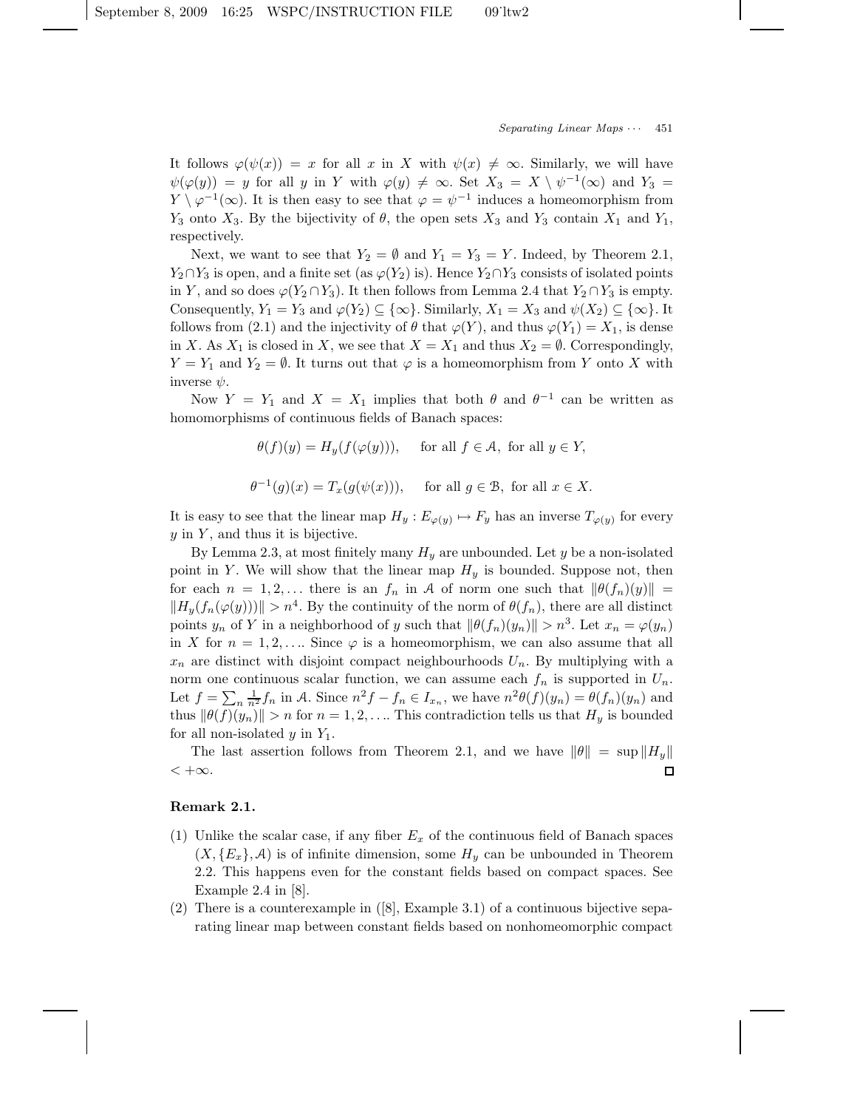It follows  $\varphi(\psi(x)) = x$  for all x in X with  $\psi(x) \neq \infty$ . Similarly, we will have  $\psi(\varphi(y)) = y$  for all y in Y with  $\varphi(y) \neq \infty$ . Set  $X_3 = X \setminus \psi^{-1}(\infty)$  and  $Y_3 =$  $Y \setminus \varphi^{-1}(\infty)$ . It is then easy to see that  $\varphi = \psi^{-1}$  induces a homeomorphism from  $Y_3$  onto  $X_3$ . By the bijectivity of  $\theta$ , the open sets  $X_3$  and  $Y_3$  contain  $X_1$  and  $Y_1$ , respectively.

Next, we want to see that  $Y_2 = \emptyset$  and  $Y_1 = Y_3 = Y$ . Indeed, by Theorem 2.1,  $Y_2 \cap Y_3$  is open, and a finite set (as  $\varphi(Y_2)$  is). Hence  $Y_2 \cap Y_3$  consists of isolated points in Y, and so does  $\varphi(Y_2 \cap Y_3)$ . It then follows from Lemma 2.4 that  $Y_2 \cap Y_3$  is empty. Consequently,  $Y_1 = Y_3$  and  $\varphi(Y_2) \subseteq {\infty}$ . Similarly,  $X_1 = X_3$  and  $\psi(X_2) \subseteq {\infty}$ . It follows from (2.1) and the injectivity of  $\theta$  that  $\varphi(Y)$ , and thus  $\varphi(Y_1) = X_1$ , is dense in X. As  $X_1$  is closed in X, we see that  $X = X_1$  and thus  $X_2 = \emptyset$ . Correspondingly,  $Y = Y_1$  and  $Y_2 = \emptyset$ . It turns out that  $\varphi$  is a homeomorphism from Y onto X with inverse  $\psi$ .

Now  $Y = Y_1$  and  $X = X_1$  implies that both  $\theta$  and  $\theta^{-1}$  can be written as homomorphisms of continuous fields of Banach spaces:

$$
\theta(f)(y) = H_y(f(\varphi(y))), \quad \text{ for all } f \in \mathcal{A}, \text{ for all } y \in Y,
$$
  

$$
\theta^{-1}(g)(x) = T_x(g(\psi(x))), \quad \text{ for all } g \in \mathcal{B}, \text{ for all } x \in X.
$$

It is easy to see that the linear map  $H_y: E_{\varphi(y)} \mapsto F_y$  has an inverse  $T_{\varphi(y)}$  for every  $y$  in  $Y$ , and thus it is bijective.

By Lemma 2.3, at most finitely many  $H_y$  are unbounded. Let y be a non-isolated point in Y. We will show that the linear map  $H_y$  is bounded. Suppose not, then for each  $n = 1, 2, \ldots$  there is an  $f_n$  in A of norm one such that  $\|\theta(f_n)(y)\|$  =  $||H_y(f_n(\varphi(y)))|| > n^4$ . By the continuity of the norm of  $\theta(f_n)$ , there are all distinct points  $y_n$  of Y in a neighborhood of y such that  $\|\theta(f_n)(y_n)\| > n^3$ . Let  $x_n = \varphi(y_n)$ in X for  $n = 1, 2, \ldots$  Since  $\varphi$  is a homeomorphism, we can also assume that all  $x_n$  are distinct with disjoint compact neighbourhoods  $U_n$ . By multiplying with a norm one continuous scalar function, we can assume each  $f_n$  is supported in  $U_n$ . Let  $f = \sum_n \frac{1}{n^2} f_n$  in A. Since  $n^2 f - f_n \in I_{x_n}$ , we have  $n^2 \theta(f)(y_n) = \theta(f_n)(y_n)$  and thus  $\|\theta(f)(y_n)\| > n$  for  $n = 1, 2, \ldots$  This contradiction tells us that  $H_y$  is bounded for all non-isolated  $y$  in  $Y_1$ .

The last assertion follows from Theorem 2.1, and we have  $\|\theta\| = \sup \|H_y\|$  $< +\infty$ . □

# Remark 2.1.

- (1) Unlike the scalar case, if any fiber  $E_x$  of the continuous field of Banach spaces  $(X, {E_x}, \mathcal{A})$  is of infinite dimension, some  $H_y$  can be unbounded in Theorem 2.2. This happens even for the constant fields based on compact spaces. See Example 2.4 in [8].
- (2) There is a counterexample in  $(8)$ , Example 3.1) of a continuous bijective separating linear map between constant fields based on nonhomeomorphic compact